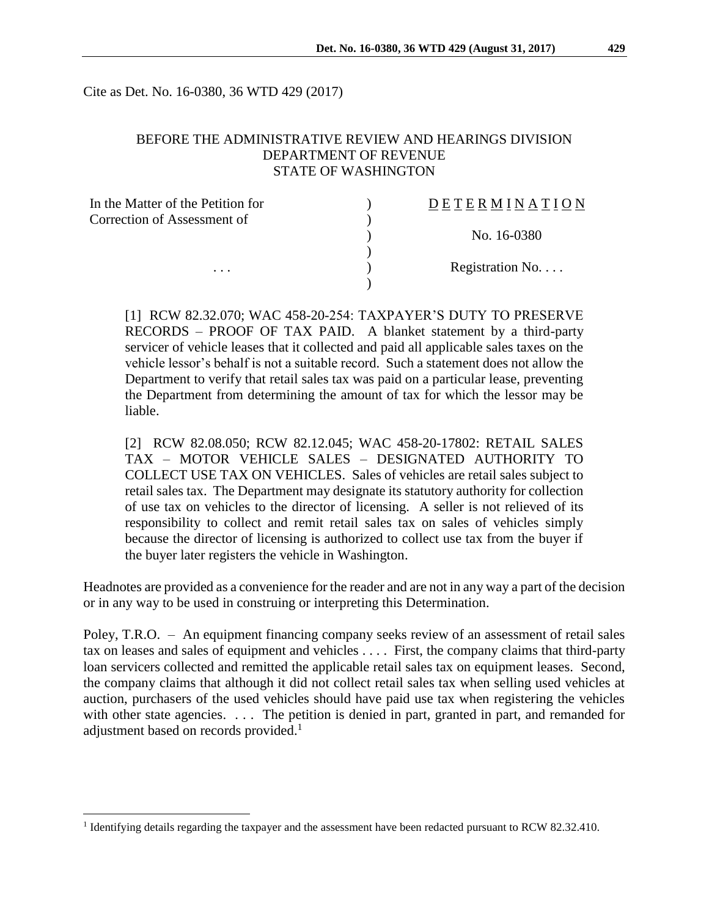Cite as Det. No. 16-0380, 36 WTD 429 (2017)

# BEFORE THE ADMINISTRATIVE REVIEW AND HEARINGS DIVISION DEPARTMENT OF REVENUE STATE OF WASHINGTON

| In the Matter of the Petition for | DETERMINATION            |
|-----------------------------------|--------------------------|
| Correction of Assessment of       |                          |
|                                   | No. 16-0380              |
|                                   |                          |
| $\cdots$                          | Registration No. $\dots$ |
|                                   |                          |

[1] RCW 82.32.070; WAC 458-20-254: TAXPAYER'S DUTY TO PRESERVE RECORDS – PROOF OF TAX PAID. A blanket statement by a third-party servicer of vehicle leases that it collected and paid all applicable sales taxes on the vehicle lessor's behalf is not a suitable record. Such a statement does not allow the Department to verify that retail sales tax was paid on a particular lease, preventing the Department from determining the amount of tax for which the lessor may be liable.

[2] RCW 82.08.050; RCW 82.12.045; WAC 458-20-17802: RETAIL SALES TAX – MOTOR VEHICLE SALES – DESIGNATED AUTHORITY TO COLLECT USE TAX ON VEHICLES. Sales of vehicles are retail sales subject to retail sales tax. The Department may designate its statutory authority for collection of use tax on vehicles to the director of licensing. A seller is not relieved of its responsibility to collect and remit retail sales tax on sales of vehicles simply because the director of licensing is authorized to collect use tax from the buyer if the buyer later registers the vehicle in Washington.

Headnotes are provided as a convenience for the reader and are not in any way a part of the decision or in any way to be used in construing or interpreting this Determination.

Poley, T.R.O. – An equipment financing company seeks review of an assessment of retail sales tax on leases and sales of equipment and vehicles . . . . First, the company claims that third-party loan servicers collected and remitted the applicable retail sales tax on equipment leases. Second, the company claims that although it did not collect retail sales tax when selling used vehicles at auction, purchasers of the used vehicles should have paid use tax when registering the vehicles with other state agencies. . . . The petition is denied in part, granted in part, and remanded for adjustment based on records provided.<sup>1</sup>

 $\overline{a}$ 

<sup>&</sup>lt;sup>1</sup> Identifying details regarding the taxpayer and the assessment have been redacted pursuant to RCW 82.32.410.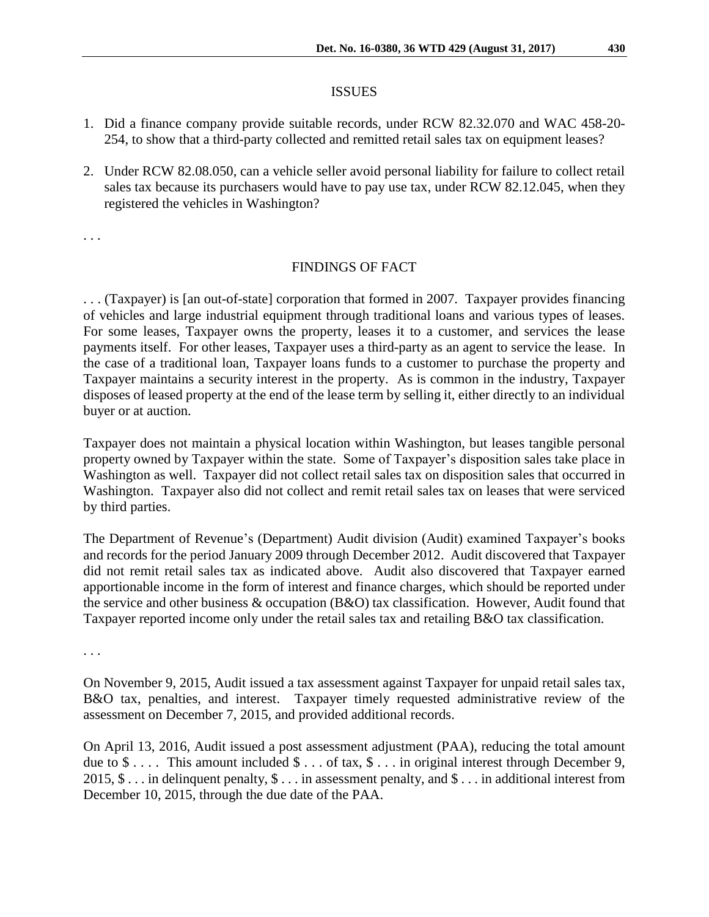### ISSUES

- 1. Did a finance company provide suitable records, under RCW 82.32.070 and WAC 458-20- 254, to show that a third-party collected and remitted retail sales tax on equipment leases?
- 2. Under RCW 82.08.050, can a vehicle seller avoid personal liability for failure to collect retail sales tax because its purchasers would have to pay use tax, under RCW 82.12.045, when they registered the vehicles in Washington?

. . .

### FINDINGS OF FACT

. . . (Taxpayer) is [an out-of-state] corporation that formed in 2007. Taxpayer provides financing of vehicles and large industrial equipment through traditional loans and various types of leases. For some leases, Taxpayer owns the property, leases it to a customer, and services the lease payments itself. For other leases, Taxpayer uses a third-party as an agent to service the lease. In the case of a traditional loan, Taxpayer loans funds to a customer to purchase the property and Taxpayer maintains a security interest in the property. As is common in the industry, Taxpayer disposes of leased property at the end of the lease term by selling it, either directly to an individual buyer or at auction.

Taxpayer does not maintain a physical location within Washington, but leases tangible personal property owned by Taxpayer within the state. Some of Taxpayer's disposition sales take place in Washington as well. Taxpayer did not collect retail sales tax on disposition sales that occurred in Washington. Taxpayer also did not collect and remit retail sales tax on leases that were serviced by third parties.

The Department of Revenue's (Department) Audit division (Audit) examined Taxpayer's books and records for the period January 2009 through December 2012. Audit discovered that Taxpayer did not remit retail sales tax as indicated above. Audit also discovered that Taxpayer earned apportionable income in the form of interest and finance charges, which should be reported under the service and other business & occupation (B&O) tax classification. However, Audit found that Taxpayer reported income only under the retail sales tax and retailing B&O tax classification.

. . .

On November 9, 2015, Audit issued a tax assessment against Taxpayer for unpaid retail sales tax, B&O tax, penalties, and interest. Taxpayer timely requested administrative review of the assessment on December 7, 2015, and provided additional records.

On April 13, 2016, Audit issued a post assessment adjustment (PAA), reducing the total amount due to  $\$\ldots$ . This amount included  $\$\ldots$  of tax,  $\$\ldots$  in original interest through December 9, 2015,  $\$\dots$  in delinquent penalty,  $\$\dots$  in assessment penalty, and  $\$\dots$  in additional interest from December 10, 2015, through the due date of the PAA.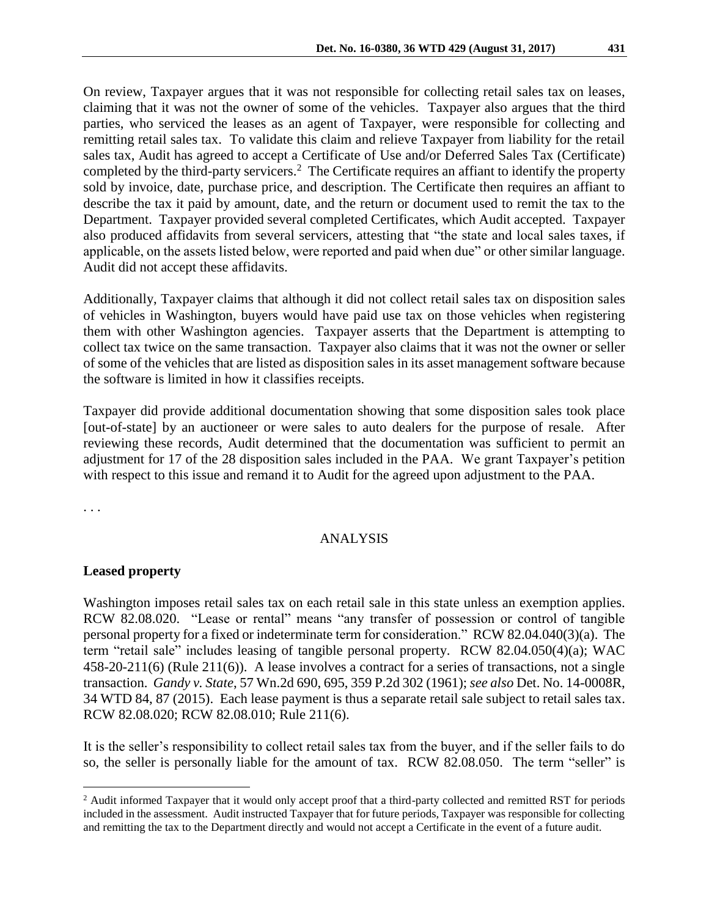On review, Taxpayer argues that it was not responsible for collecting retail sales tax on leases, claiming that it was not the owner of some of the vehicles. Taxpayer also argues that the third parties, who serviced the leases as an agent of Taxpayer, were responsible for collecting and remitting retail sales tax. To validate this claim and relieve Taxpayer from liability for the retail sales tax, Audit has agreed to accept a Certificate of Use and/or Deferred Sales Tax (Certificate) completed by the third-party servicers.<sup>2</sup> The Certificate requires an affiant to identify the property sold by invoice, date, purchase price, and description. The Certificate then requires an affiant to describe the tax it paid by amount, date, and the return or document used to remit the tax to the Department. Taxpayer provided several completed Certificates, which Audit accepted. Taxpayer also produced affidavits from several servicers, attesting that "the state and local sales taxes, if applicable, on the assets listed below, were reported and paid when due" or other similar language. Audit did not accept these affidavits.

Additionally, Taxpayer claims that although it did not collect retail sales tax on disposition sales of vehicles in Washington, buyers would have paid use tax on those vehicles when registering them with other Washington agencies. Taxpayer asserts that the Department is attempting to collect tax twice on the same transaction. Taxpayer also claims that it was not the owner or seller of some of the vehicles that are listed as disposition sales in its asset management software because the software is limited in how it classifies receipts.

Taxpayer did provide additional documentation showing that some disposition sales took place [out-of-state] by an auctioneer or were sales to auto dealers for the purpose of resale. After reviewing these records, Audit determined that the documentation was sufficient to permit an adjustment for 17 of the 28 disposition sales included in the PAA. We grant Taxpayer's petition with respect to this issue and remand it to Audit for the agreed upon adjustment to the PAA.

. . .

 $\overline{a}$ 

### ANALYSIS

#### **Leased property**

Washington imposes retail sales tax on each retail sale in this state unless an exemption applies. RCW 82.08.020. "Lease or rental" means "any transfer of possession or control of tangible personal property for a fixed or indeterminate term for consideration." RCW 82.04.040(3)(a). The term "retail sale" includes leasing of tangible personal property. RCW 82.04.050(4)(a); WAC 458-20-211(6) (Rule 211(6)). A lease involves a contract for a series of transactions, not a single transaction. *Gandy v. State*, 57 Wn.2d 690, 695, 359 P.2d 302 (1961); *see also* Det. No. 14-0008R, 34 WTD 84, 87 (2015). Each lease payment is thus a separate retail sale subject to retail sales tax. RCW 82.08.020; RCW 82.08.010; Rule 211(6).

It is the seller's responsibility to collect retail sales tax from the buyer, and if the seller fails to do so, the seller is personally liable for the amount of tax. RCW 82.08.050. The term "seller" is

<sup>&</sup>lt;sup>2</sup> Audit informed Taxpayer that it would only accept proof that a third-party collected and remitted RST for periods included in the assessment. Audit instructed Taxpayer that for future periods, Taxpayer was responsible for collecting and remitting the tax to the Department directly and would not accept a Certificate in the event of a future audit.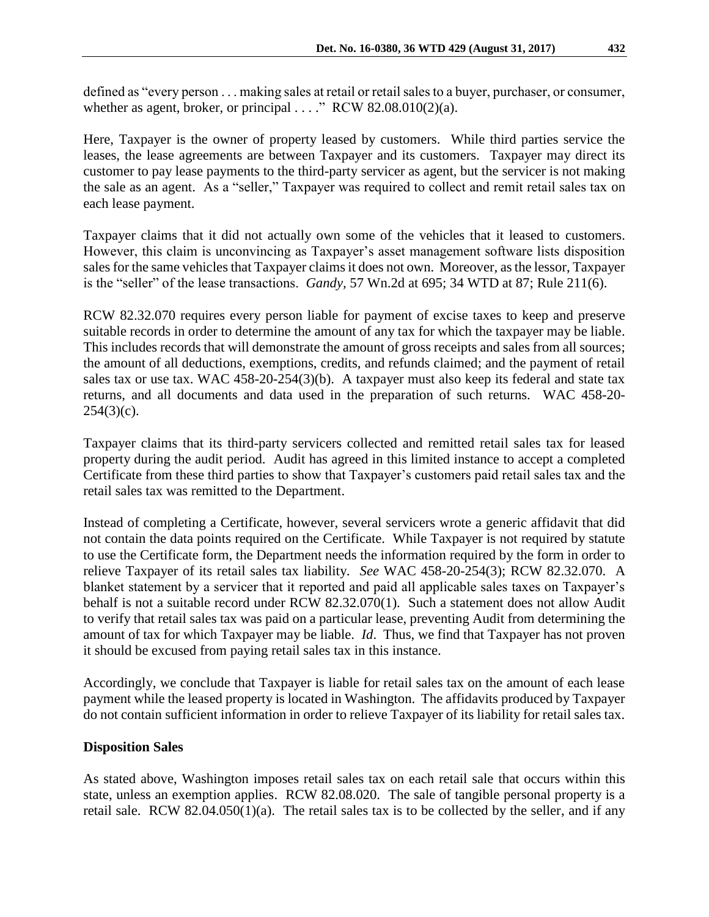defined as "every person . . . making sales at retail or retail sales to a buyer, purchaser, or consumer, whether as agent, broker, or principal  $\dots$ ." RCW 82.08.010(2)(a).

Here, Taxpayer is the owner of property leased by customers. While third parties service the leases, the lease agreements are between Taxpayer and its customers. Taxpayer may direct its customer to pay lease payments to the third-party servicer as agent, but the servicer is not making the sale as an agent. As a "seller," Taxpayer was required to collect and remit retail sales tax on each lease payment.

Taxpayer claims that it did not actually own some of the vehicles that it leased to customers. However, this claim is unconvincing as Taxpayer's asset management software lists disposition sales for the same vehicles that Taxpayer claims it does not own. Moreover, as the lessor, Taxpayer is the "seller" of the lease transactions. *Gandy,* 57 Wn.2d at 695; 34 WTD at 87; Rule 211(6).

RCW 82.32.070 requires every person liable for payment of excise taxes to keep and preserve suitable records in order to determine the amount of any tax for which the taxpayer may be liable. This includes records that will demonstrate the amount of gross receipts and sales from all sources; the amount of all deductions, exemptions, credits, and refunds claimed; and the payment of retail sales tax or use tax. WAC 458-20-254(3)(b). A taxpayer must also keep its federal and state tax returns, and all documents and data used in the preparation of such returns. WAC 458-20-  $254(3)(c)$ .

Taxpayer claims that its third-party servicers collected and remitted retail sales tax for leased property during the audit period. Audit has agreed in this limited instance to accept a completed Certificate from these third parties to show that Taxpayer's customers paid retail sales tax and the retail sales tax was remitted to the Department.

Instead of completing a Certificate, however, several servicers wrote a generic affidavit that did not contain the data points required on the Certificate. While Taxpayer is not required by statute to use the Certificate form, the Department needs the information required by the form in order to relieve Taxpayer of its retail sales tax liability. *See* WAC 458-20-254(3); RCW 82.32.070. A blanket statement by a servicer that it reported and paid all applicable sales taxes on Taxpayer's behalf is not a suitable record under RCW 82.32.070(1). Such a statement does not allow Audit to verify that retail sales tax was paid on a particular lease, preventing Audit from determining the amount of tax for which Taxpayer may be liable. *Id*. Thus, we find that Taxpayer has not proven it should be excused from paying retail sales tax in this instance.

Accordingly, we conclude that Taxpayer is liable for retail sales tax on the amount of each lease payment while the leased property is located in Washington. The affidavits produced by Taxpayer do not contain sufficient information in order to relieve Taxpayer of its liability for retail sales tax.

### **Disposition Sales**

As stated above, Washington imposes retail sales tax on each retail sale that occurs within this state, unless an exemption applies. RCW 82.08.020. The sale of tangible personal property is a retail sale. RCW 82.04.050(1)(a). The retail sales tax is to be collected by the seller, and if any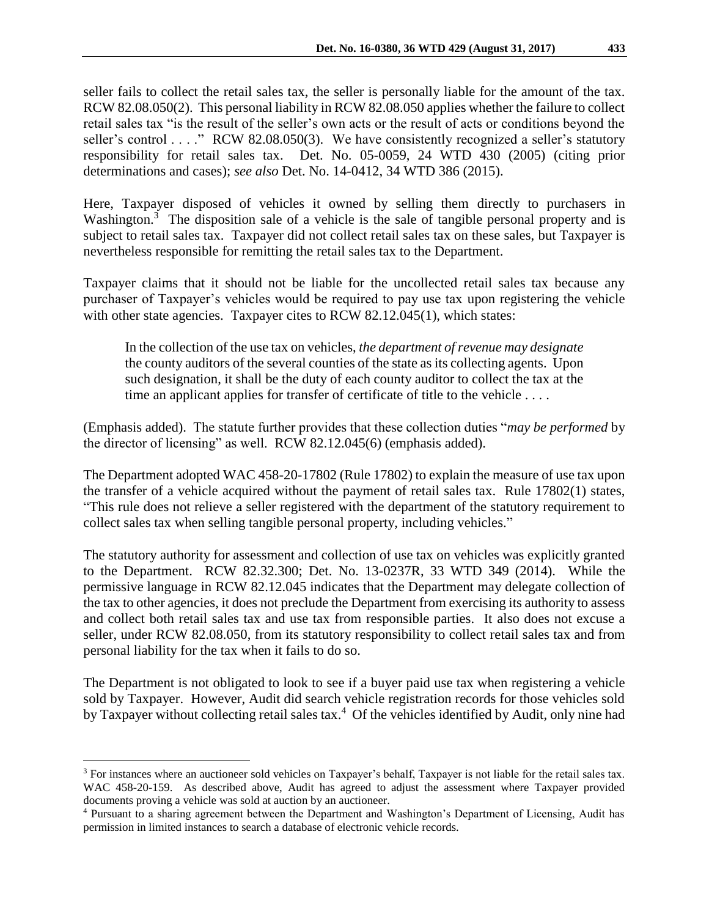seller fails to collect the retail sales tax, the seller is personally liable for the amount of the tax. RCW 82.08.050(2). This personal liability in RCW 82.08.050 applies whether the failure to collect retail sales tax "is the result of the seller's own acts or the result of acts or conditions beyond the seller's control . . . ." RCW 82.08.050(3). We have consistently recognized a seller's statutory responsibility for retail sales tax. Det. No. 05-0059, 24 WTD 430 (2005) (citing prior determinations and cases); *see also* Det. No. 14-0412, 34 WTD 386 (2015).

Here, Taxpayer disposed of vehicles it owned by selling them directly to purchasers in Washington.<sup>3</sup> The disposition sale of a vehicle is the sale of tangible personal property and is subject to retail sales tax. Taxpayer did not collect retail sales tax on these sales, but Taxpayer is nevertheless responsible for remitting the retail sales tax to the Department.

Taxpayer claims that it should not be liable for the uncollected retail sales tax because any purchaser of Taxpayer's vehicles would be required to pay use tax upon registering the vehicle with other state agencies. Taxpayer cites to RCW 82.12.045(1), which states:

In the collection of the use tax on vehicles, *the department of revenue may designate* the county auditors of the several counties of the state as its collecting agents. Upon such designation, it shall be the duty of each county auditor to collect the tax at the time an applicant applies for transfer of certificate of title to the vehicle . . . .

(Emphasis added). The statute further provides that these collection duties "*may be performed* by the director of licensing" as well. RCW 82.12.045(6) (emphasis added).

The Department adopted WAC 458-20-17802 (Rule 17802) to explain the measure of use tax upon the transfer of a vehicle acquired without the payment of retail sales tax. Rule 17802(1) states, "This rule does not relieve a seller registered with the department of the statutory requirement to collect sales tax when selling tangible personal property, including vehicles."

The statutory authority for assessment and collection of use tax on vehicles was explicitly granted to the Department. RCW 82.32.300; Det. No. 13-0237R, 33 WTD 349 (2014). While the permissive language in RCW 82.12.045 indicates that the Department may delegate collection of the tax to other agencies, it does not preclude the Department from exercising its authority to assess and collect both retail sales tax and use tax from responsible parties. It also does not excuse a seller, under RCW 82.08.050, from its statutory responsibility to collect retail sales tax and from personal liability for the tax when it fails to do so.

The Department is not obligated to look to see if a buyer paid use tax when registering a vehicle sold by Taxpayer. However, Audit did search vehicle registration records for those vehicles sold by Taxpayer without collecting retail sales tax.<sup>4</sup> Of the vehicles identified by Audit, only nine had

 $\overline{a}$ 

<sup>3</sup> For instances where an auctioneer sold vehicles on Taxpayer's behalf, Taxpayer is not liable for the retail sales tax. WAC 458-20-159. As described above, Audit has agreed to adjust the assessment where Taxpayer provided documents proving a vehicle was sold at auction by an auctioneer.

<sup>4</sup> Pursuant to a sharing agreement between the Department and Washington's Department of Licensing, Audit has permission in limited instances to search a database of electronic vehicle records.